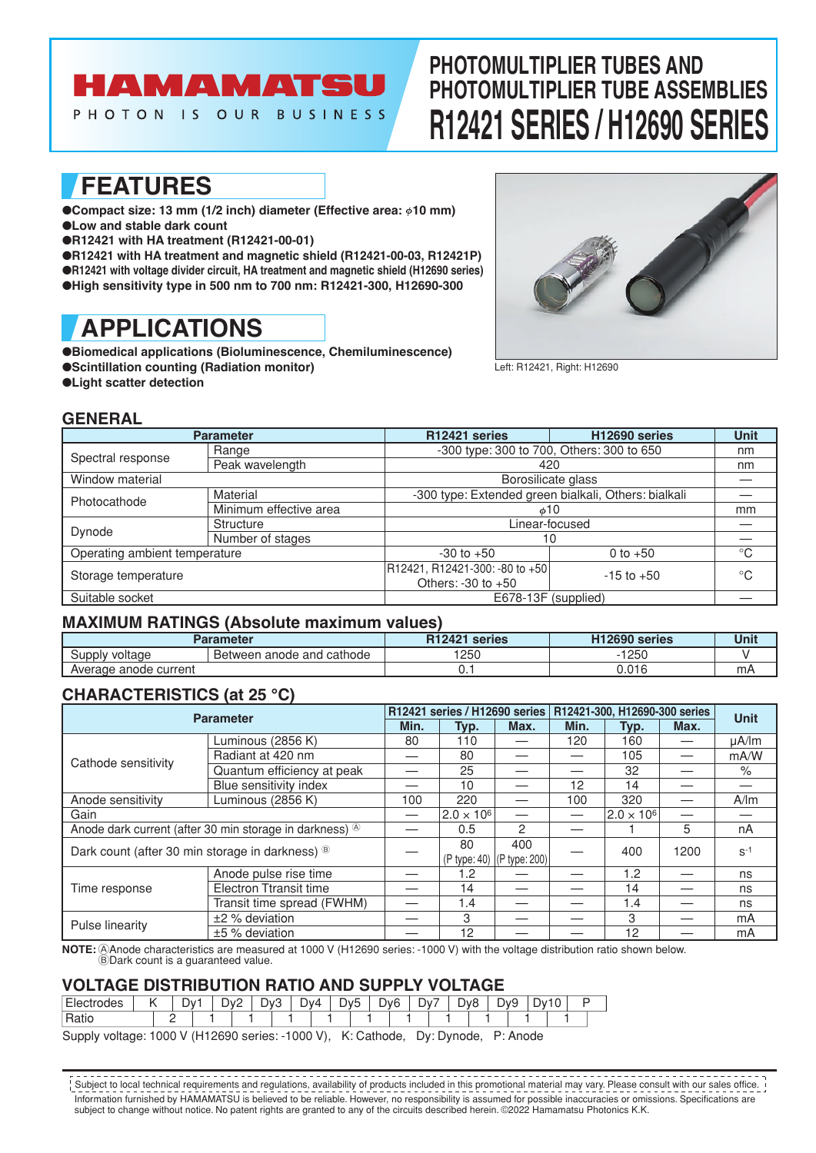# AMAMATSU

PHOTON IS OUR BUSINESS

# **PHOTOMULTIPLIER TUBES AND PHOTOMULTIPLIER TUBE ASSEMBLIES R12421 SERIES / H12690 SERIES**

## **FEATURES**

● Compact size: 13 mm (1/2 inch) diameter (Effective area: ¢10 mm) ●**Low and stable dark count**

●**R12421 with HA treatment (R12421-00-01)**

●**R12421 with HA treatment and magnetic shield (R12421-00-03, R12421P)** ●**R12421 with voltage divider circuit, HA treatment and magnetic shield (H12690 series)** ●**High sensitivity type in 500 nm to 700 nm: R12421-300, H12690-300**

# **APPLICATIONS**

●**Biomedical applications (Bioluminescence, Chemiluminescence)** ●**Scintillation counting (Radiation monitor)**

●**Light scatter detection**



Left: R12421, Right: H12690

## **GENERAL**

|                               | <b>Parameter</b>       | R12421 series                                            | H12690 series  | <b>Unit</b> |
|-------------------------------|------------------------|----------------------------------------------------------|----------------|-------------|
|                               | Range                  | -300 type: 300 to 700, Others: 300 to 650                | nm             |             |
| Spectral response             | Peak wavelength        | 420                                                      | nm             |             |
| Window material               |                        | Borosilicate glass                                       |                |             |
| Photocathode                  | Material               | -300 type: Extended green bialkali, Others: bialkali     |                |             |
|                               | Minimum effective area | $\phi$ 10                                                | mm             |             |
| Dynode                        | <b>Structure</b>       | Linear-focused                                           |                |             |
|                               | Number of stages       | 10                                                       |                |             |
| Operating ambient temperature |                        | $-30$ to $+50$                                           | 0 to $+50$     | $^{\circ}C$ |
| Storage temperature           |                        | R12421, R12421-300: -80 to +50<br>Others: $-30$ to $+50$ | $-15$ to $+50$ | $^{\circ}C$ |
| Suitable socket               |                        | E678-13F (supplied)                                      |                |             |

## **MAXIMUM RATINGS (Absolute maximum values)**

|                       | <b>Parameter</b>            | R <sub>12421</sub><br>series | H <sub>12690</sub> series | Unit |
|-----------------------|-----------------------------|------------------------------|---------------------------|------|
| Supply voltage        | I Between anode and cathode | 1250                         | 250                       |      |
| Average anode current |                             | ັ.                           | 0.016                     | mA   |

## **CHARACTERISTICS (at 25 °C)**

| <b>Parameter</b>                                                     |                               |      | R12421 series / H12690 series |                              | R12421-300, H12690-300 series | <b>Unit</b>       |      |            |
|----------------------------------------------------------------------|-------------------------------|------|-------------------------------|------------------------------|-------------------------------|-------------------|------|------------|
|                                                                      |                               | Min. | Typ.                          | Max.                         | Min.                          | Typ.              | Max. |            |
| Cathode sensitivity                                                  | Luminous (2856 K)             | 80   | 110                           |                              | 120                           | 160               |      | $\mu$ A/lm |
|                                                                      | Radiant at 420 nm             |      | 80                            |                              |                               | 105               |      | mA/W       |
|                                                                      | Quantum efficiency at peak    |      | 25                            |                              |                               | 32                |      | $\%$       |
|                                                                      | Blue sensitivity index        |      | 10                            |                              | 12                            | 14                |      |            |
| Anode sensitivity                                                    | Luminous (2856 K)             |      |                               |                              | 100                           | 320               |      | A/m        |
| Gain                                                                 |                               | —    | $2.0 \times 10^{6}$           |                              |                               | $2.0 \times 10^6$ |      |            |
| Anode dark current (after 30 min storage in darkness) <sup>(8)</sup> |                               |      | 0.5                           | $\mathcal{P}$                |                               |                   | 5    | nA         |
| Dark count (after 30 min storage in darkness) ®                      |                               |      | 80                            | 400                          |                               | 400               | 1200 | $S-1$      |
|                                                                      |                               |      |                               | (P type: 40)   (P type: 200) |                               |                   |      |            |
| Time response                                                        | Anode pulse rise time         |      | 1.2                           |                              |                               | 1.2               |      | ns         |
|                                                                      | <b>Electron Ttransit time</b> |      | 14                            |                              |                               | 14                |      | ns         |
|                                                                      | Transit time spread (FWHM)    |      | 1.4                           |                              |                               | 1.4               |      | ns         |
|                                                                      | $±2$ % deviation              |      | 3                             |                              |                               | 3                 |      | mA         |
| Pulse linearity                                                      | $±5$ % deviation              |      | 12                            |                              |                               | 12                |      | mA         |

**NOTE:** @Anode characteristics are measured at 1000 V (H12690 series: -1000 V) with the voltage distribution ratio shown below.  $\widetilde{\mathbb{B}}$ Dark count is a guaranteed value.

## **VOLTAGE DISTRIBUTION RATIO AND SUPPLY VOLTAGE**

| $\overline{\phantom{0}}$<br>nues | ⊃∨ | ∽<br>$\mathbf{u}$<br>◡ | -<br>$W_{\rm c}$<br>╰<br>- | $\mathcal{M}$<br>- | $\overline{\phantom{a}}$<br>∽<br>⊃∨∵ | DvR<br>້ | $\overline{\phantom{a}}$<br>$\mathcal{W}$<br>− | $\sim$<br>v<br>◡<br>∼ | ∽<br>ັ |  |
|----------------------------------|----|------------------------|----------------------------|--------------------|--------------------------------------|----------|------------------------------------------------|-----------------------|--------|--|
| $\overline{\phantom{0}}$         |    |                        |                            |                    |                                      |          |                                                |                       |        |  |

Supply voltage: 1000 V (H12690 series: -1000 V), K: Cathode, Dy: Dynode, P: Anode

Information furnished by HAMAMATSU is believed to be reliable. However, no responsibility is assumed for possible inaccuracies or omissions. Specifications are subject to change without notice. No patent rights are granted to any of the circuits described herein. ©2022 Hamamatsu Photonics K.K. Subject to local technical requirements and regulations, availability of products included in this promotional material may vary. Please consult with our sales office.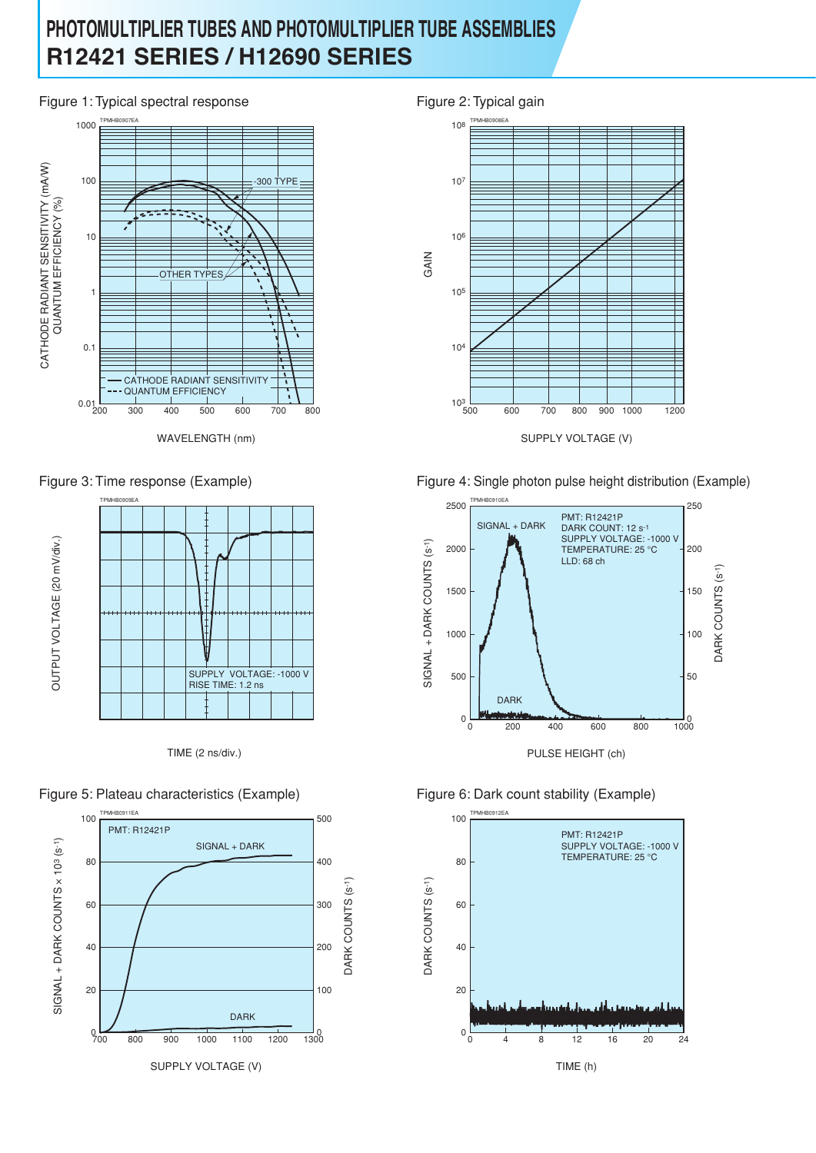## **PHOTOMULTIPLIER TUBES AND PHOTOMULTIPLIER TUBE ASSEMBLIES R12421 SERIES / H12690 SERIES**

## Figure 1: Typical spectral response Figure 2: Typical gain



WAVELENGTH (nm)



TIME (2 ns/div.)













Figure 3: Time response (Example) Figure 4: Single photon pulse height distribution (Example)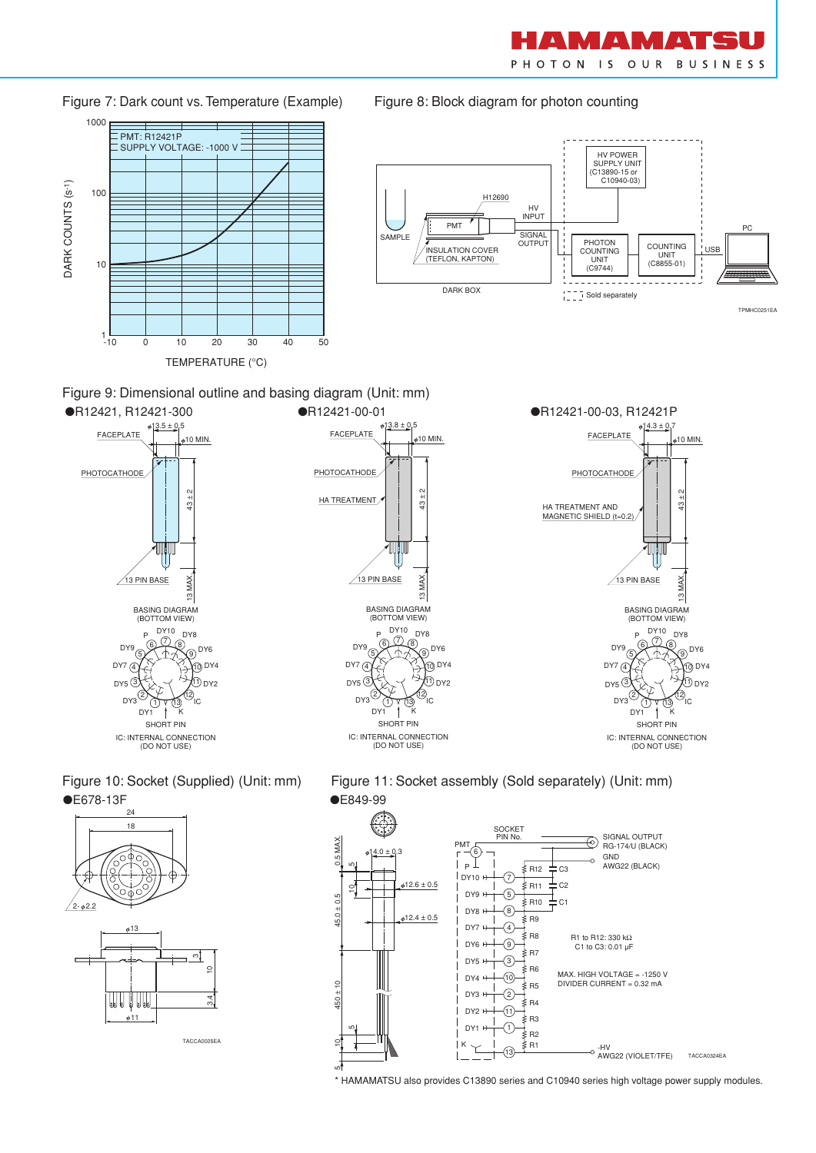M A M  $\blacktriangle$ PHOTON IS OUR BUSINESS

> $_9$  DY6 10 DY4 11 DY2 12

10 MIN.

 $\frac{1}{2}$ 

13 MAX.

'ıc



Figure 7: Dark count vs. Temperature (Example) Figure 8: Block diagram for photon counting











\* HAMAMATSU also provides C13890 series and C10940 series high voltage power supply modules.